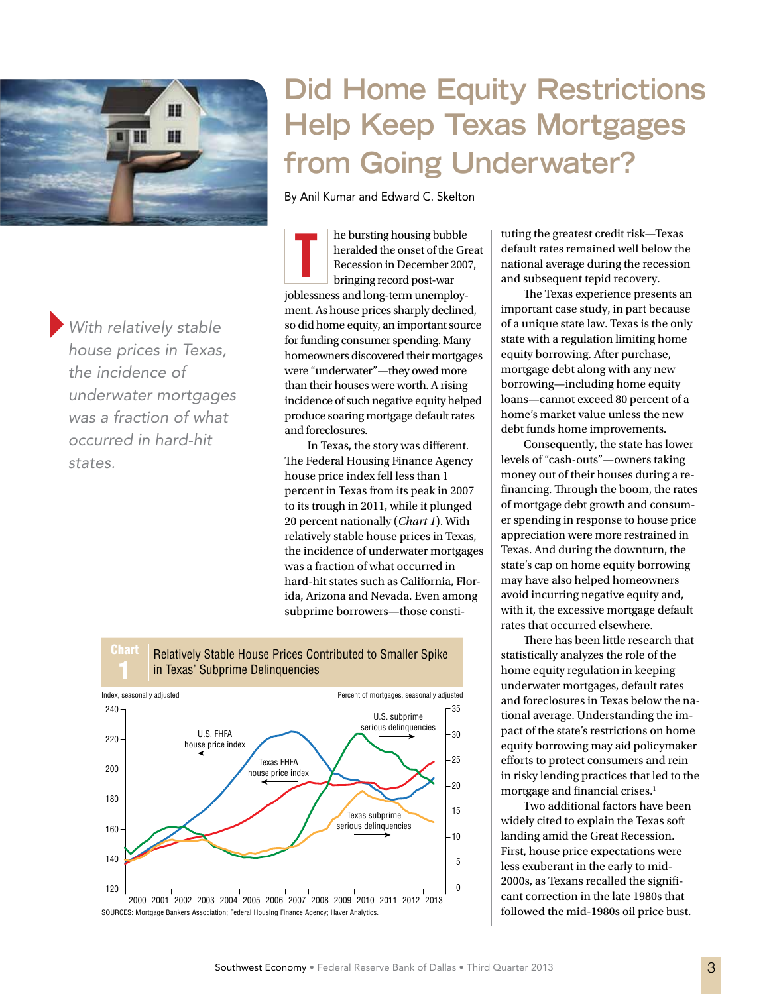

}*With relatively stable house prices in Texas, the incidence of underwater mortgages was a fraction of what occurred in hard-hit states.*

# **Did Home Equity Restrictions Help Keep Texas Mortgages from Going Underwater?**

By Anil Kumar and Edward C. Skelton

he bursting housing bubble heralded the onset of the Great Recession in December 2007, bringing record post-war joblessness and long-term unemployment. As house prices sharply declined, so did home equity, an important source for funding consumer spending. Many homeowners discovered their mortgages were "underwater"—they owed more than their houses were worth. A rising incidence of such negative equity helped produce soaring mortgage default rates and foreclosures. T

In Texas, the story was different. The Federal Housing Finance Agency house price index fell less than 1 percent in Texas from its peak in 2007 to its trough in 2011, while it plunged 20 percent nationally (*Chart 1*). With relatively stable house prices in Texas, the incidence of underwater mortgages was a fraction of what occurred in hard-hit states such as California, Florida, Arizona and Nevada. Even among subprime borrowers—those consti-



tuting the greatest credit risk—Texas default rates remained well below the national average during the recession and subsequent tepid recovery.

The Texas experience presents an important case study, in part because of a unique state law. Texas is the only state with a regulation limiting home equity borrowing. After purchase, mortgage debt along with any new borrowing—including home equity loans—cannot exceed 80 percent of a home's market value unless the new debt funds home improvements.

Consequently, the state has lower levels of "cash-outs"—owners taking money out of their houses during a refinancing. Through the boom, the rates of mortgage debt growth and consumer spending in response to house price appreciation were more restrained in Texas. And during the downturn, the state's cap on home equity borrowing may have also helped homeowners avoid incurring negative equity and, with it, the excessive mortgage default rates that occurred elsewhere.

There has been little research that statistically analyzes the role of the home equity regulation in keeping underwater mortgages, default rates and foreclosures in Texas below the national average. Understanding the impact of the state's restrictions on home equity borrowing may aid policymaker efforts to protect consumers and rein in risky lending practices that led to the mortgage and financial crises.<sup>1</sup>

Two additional factors have been widely cited to explain the Texas soft landing amid the Great Recession. First, house price expectations were less exuberant in the early to mid-2000s, as Texans recalled the significant correction in the late 1980s that followed the mid-1980s oil price bust.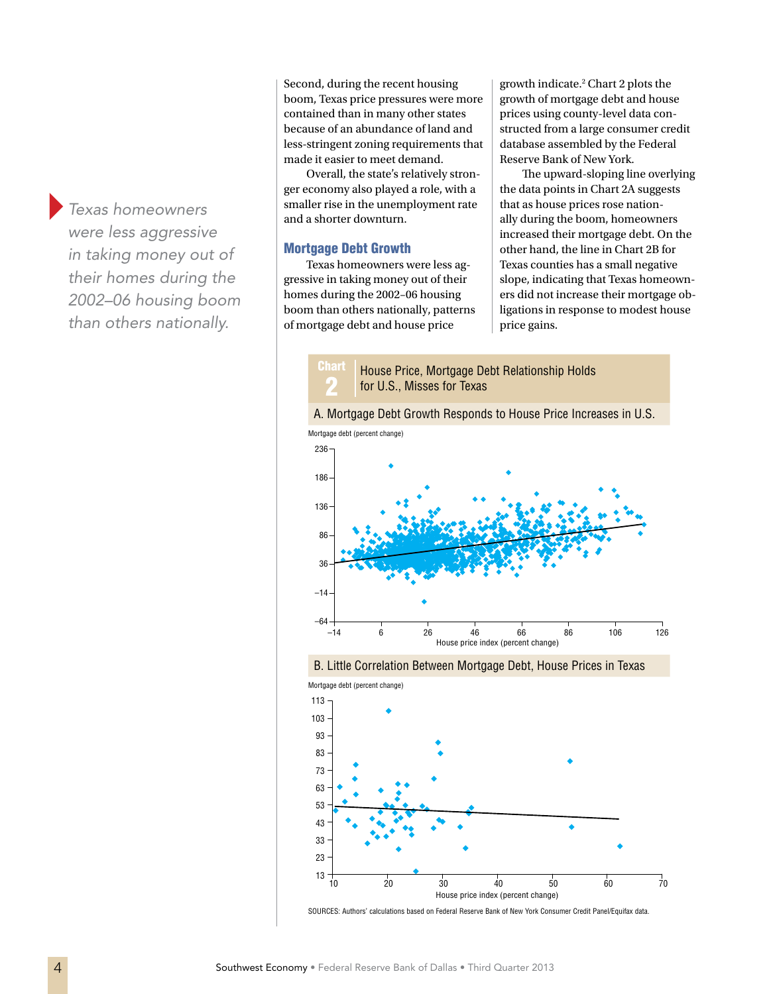}*Texas homeowners were less aggressive in taking money out of their homes during the 2002–06 housing boom than others nationally.*

Second, during the recent housing boom, Texas price pressures were more contained than in many other states because of an abundance of land and less-stringent zoning requirements that made it easier to meet demand.

Overall, the state's relatively stronger economy also played a role, with a smaller rise in the unemployment rate and a shorter downturn.

## Mortgage Debt Growth

<u>Char</u>

Texas homeowners were less aggressive in taking money out of their homes during the 2002–06 housing boom than others nationally, patterns of mortgage debt and house price

growth indicate.2 Chart 2 plots the growth of mortgage debt and house prices using county-level data constructed from a large consumer credit database assembled by the Federal Reserve Bank of New York.

The upward-sloping line overlying the data points in Chart 2A suggests that as house prices rose nationally during the boom, homeowners increased their mortgage debt. On the other hand, the line in Chart 2B for Texas counties has a small negative slope, indicating that Texas homeowners did not increase their mortgage obligations in response to modest house price gains.

2 House Price, Mortgage Debt Relationship Holds for U.S., Misses for Texas









SOURCES: Authors' calculations based on Federal Reserve Bank of New York Consumer Credit Panel/Equifax data.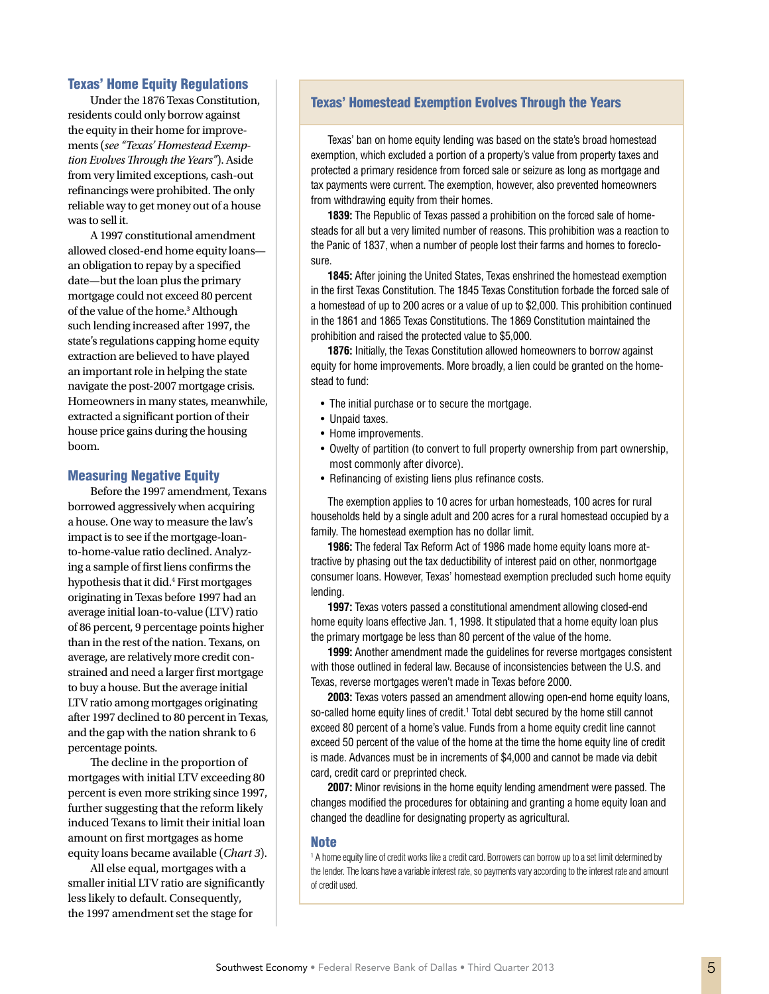## Texas' Home Equity Regulations

Under the 1876 Texas Constitution, residents could only borrow against the equity in their home for improvements (*see "Texas' Homestead Exemption Evolves Through the Years"*). Aside from very limited exceptions, cash-out refinancings were prohibited. The only reliable way to get money out of a house was to sell it.

A 1997 constitutional amendment allowed closed-end home equity loans an obligation to repay by a specified date—but the loan plus the primary mortgage could not exceed 80 percent of the value of the home.<sup>3</sup> Although such lending increased after 1997, the state's regulations capping home equity extraction are believed to have played an important role in helping the state navigate the post-2007 mortgage crisis. Homeowners in many states, meanwhile, extracted a significant portion of their house price gains during the housing boom.

### Measuring Negative Equity

Before the 1997 amendment, Texans borrowed aggressively when acquiring a house. One way to measure the law's impact is to see if the mortgage-loanto-home-value ratio declined. Analyzing a sample of first liens confirms the hypothesis that it did.4 First mortgages originating in Texas before 1997 had an average initial loan-to-value (LTV) ratio of 86 percent, 9 percentage points higher than in the rest of the nation. Texans, on average, are relatively more credit constrained and need a larger first mortgage to buy a house. But the average initial LTV ratio among mortgages originating after 1997 declined to 80 percent in Texas, and the gap with the nation shrank to 6 percentage points.

The decline in the proportion of mortgages with initial LTV exceeding 80 percent is even more striking since 1997, further suggesting that the reform likely induced Texans to limit their initial loan amount on first mortgages as home equity loans became available (*Chart 3*).

All else equal, mortgages with a smaller initial LTV ratio are significantly less likely to default. Consequently, the 1997 amendment set the stage for

# Texas' Homestead Exemption Evolves Through the Years

Texas' ban on home equity lending was based on the state's broad homestead exemption, which excluded a portion of a property's value from property taxes and protected a primary residence from forced sale or seizure as long as mortgage and tax payments were current. The exemption, however, also prevented homeowners from withdrawing equity from their homes.

**1839:** The Republic of Texas passed a prohibition on the forced sale of homesteads for all but a very limited number of reasons. This prohibition was a reaction to the Panic of 1837, when a number of people lost their farms and homes to foreclosure.

**1845:** After joining the United States, Texas enshrined the homestead exemption in the first Texas Constitution. The 1845 Texas Constitution forbade the forced sale of a homestead of up to 200 acres or a value of up to \$2,000. This prohibition continued in the 1861 and 1865 Texas Constitutions. The 1869 Constitution maintained the prohibition and raised the protected value to \$5,000.

**1876:** Initially, the Texas Constitution allowed homeowners to borrow against equity for home improvements. More broadly, a lien could be granted on the homestead to fund:

- The initial purchase or to secure the mortgage.
- Unpaid taxes.
- Home improvements.
- Owelty of partition (to convert to full property ownership from part ownership, most commonly after divorce).
- Refinancing of existing liens plus refinance costs.

The exemption applies to 10 acres for urban homesteads, 100 acres for rural households held by a single adult and 200 acres for a rural homestead occupied by a family. The homestead exemption has no dollar limit.

**1986:** The federal Tax Reform Act of 1986 made home equity loans more attractive by phasing out the tax deductibility of interest paid on other, nonmortgage consumer loans. However, Texas' homestead exemption precluded such home equity lending.

**1997:** Texas voters passed a constitutional amendment allowing closed-end home equity loans effective Jan. 1, 1998. It stipulated that a home equity loan plus the primary mortgage be less than 80 percent of the value of the home.

**1999:** Another amendment made the guidelines for reverse mortgages consistent with those outlined in federal law. Because of inconsistencies between the U.S. and Texas, reverse mortgages weren't made in Texas before 2000.

**2003:** Texas voters passed an amendment allowing open-end home equity loans, so-called home equity lines of credit.<sup>1</sup> Total debt secured by the home still cannot exceed 80 percent of a home's value. Funds from a home equity credit line cannot exceed 50 percent of the value of the home at the time the home equity line of credit is made. Advances must be in increments of \$4,000 and cannot be made via debit card, credit card or preprinted check.

**2007:** Minor revisions in the home equity lending amendment were passed. The changes modified the procedures for obtaining and granting a home equity loan and changed the deadline for designating property as agricultural.

#### **Note**

1 A home equity line of credit works like a credit card. Borrowers can borrow up to a set limit determined by the lender. The loans have a variable interest rate, so payments vary according to the interest rate and amount of credit used.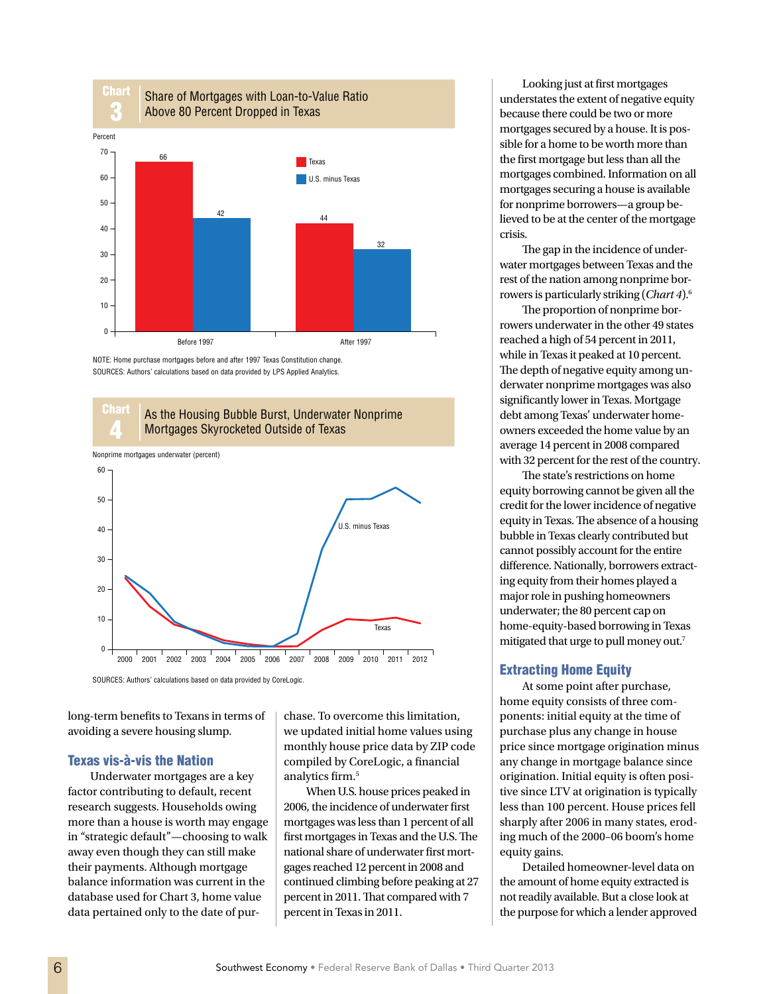

NOTE: Home purchase mortgages before and after 1997 Texas Constitution change. SOURCES: Authors' calculations based on data provided by LPS Applied Analytics.





SOURCES: Authors' calculations based on data provided by CoreLogic.

long-term benefits to Texans in terms of avoiding a severe housing slump.

# Texas vis-à-vis the Nation

Underwater mortgages are a key factor contributing to default, recent research suggests. Households owing more than a house is worth may engage in "strategic default"—choosing to walk away even though they can still make their payments. Although mortgage balance information was current in the database used for Chart 3, home value data pertained only to the date of purchase. To overcome this limitation, we updated initial home values using monthly house price data by ZIP code compiled by CoreLogic, a financial analytics firm.<sup>5</sup>

When U.S. house prices peaked in 2006, the incidence of underwater first mortgages was less than 1 percent of all first mortgages in Texas and the U.S. The national share of underwater first mortgages reached 12 percent in 2008 and continued climbing before peaking at 27 percent in 2011. That compared with 7 percent in Texas in 2011.

Looking just at first mortgages understates the extent of negative equity because there could be two or more mortgages secured by a house. It is possible for a home to be worth more than the first mortgage but less than all the mortgages combined. Information on all mortgages securing a house is available for nonprime borrowers—a group believed to be at the center of the mortgage crisis.

The gap in the incidence of underwater mortgages between Texas and the rest of the nation among nonprime borrowers is particularly striking (*Chart 4*).6

The proportion of nonprime borrowers underwater in the other 49 states reached a high of 54 percent in 2011, while in Texas it peaked at 10 percent. The depth of negative equity among underwater nonprime mortgages was also significantly lower in Texas. Mortgage debt among Texas' underwater homeowners exceeded the home value by an average 14 percent in 2008 compared with 32 percent for the rest of the country.

The state's restrictions on home equity borrowing cannot be given all the credit for the lower incidence of negative equity in Texas. The absence of a housing bubble in Texas clearly contributed but cannot possibly account for the entire difference. Nationally, borrowers extracting equity from their homes played a major role in pushing homeowners underwater; the 80 percent cap on home-equity-based borrowing in Texas mitigated that urge to pull money out.7

# Extracting Home Equity

At some point after purchase, home equity consists of three components: initial equity at the time of purchase plus any change in house price since mortgage origination minus any change in mortgage balance since origination. Initial equity is often positive since LTV at origination is typically less than 100 percent. House prices fell sharply after 2006 in many states, eroding much of the 2000–06 boom's home equity gains.

Detailed homeowner-level data on the amount of home equity extracted is not readily available. But a close look at the purpose for which a lender approved